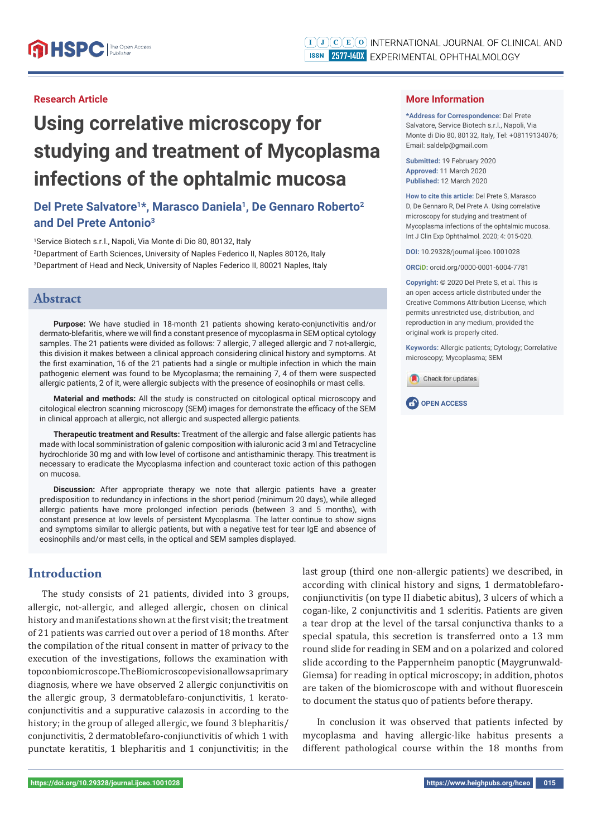#### **Research Article**

# **Using correlative microscopy for studying and treatment of Mycoplasma infections of the ophtalmic mucosa**

# **Del Prete Salvatore1\*, Marasco Daniela1, De Gennaro Roberto2 and Del Prete Antonio3**

1 Service Biotech s.r.l., Napoli, Via Monte di Dio 80, 80132, Italy 2 Department of Earth Sciences, University of Naples Federico II, Naples 80126, Italy 3 Department of Head and Neck, University of Naples Federico II, 80021 Naples, Italy

## **Abstract**

**Purpose:** We have studied in 18-month 21 patients showing kerato-conjunctivitis and/or dermato-blefaritis, where we will find a constant presence of mycoplasma in SEM optical cytology samples. The 21 patients were divided as follows: 7 allergic, 7 alleged allergic and 7 not-allergic. this division it makes between a clinical approach considering clinical history and symptoms. At the first examination, 16 of the 21 patients had a single or multiple infection in which the main pathogenic element was found to be Mycoplasma; the remaining 7, 4 of them were suspected allergic patients, 2 of it, were allergic subjects with the presence of eosinophils or mast cells.

**Material and methods:** All the study is constructed on citological optical microscopy and citological electron scanning microscopy (SEM) images for demonstrate the efficacy of the SEM in clinical approach at allergic, not allergic and suspected allergic patients.

**Therapeutic treatment and Results:** Treatment of the allergic and false allergic patients has made with local somministration of galenic composition with ialuronic acid 3 ml and Tetracycline hydrochloride 30 mg and with low level of cortisone and antisthaminic therapy. This treatment is necessary to eradicate the Mycoplasma infection and counteract toxic action of this pathogen on mucosa.

**Discussion:** After appropriate therapy we note that allergic patients have a greater predisposition to redundancy in infections in the short period (minimum 20 days), while alleged allergic patients have more prolonged infection periods (between 3 and 5 months), with constant presence at low levels of persistent Mycoplasma. The latter continue to show signs and symptoms similar to allergic patients, but with a negative test for tear IgE and absence of eosinophils and/or mast cells, in the optical and SEM samples displayed.

# **Introduction**

The study consists of 21 patients, divided into 3 groups, allergic, not-allergic, and alleged allergic, chosen on clinical history and manifestations shown at the first visit; the treatment of 21 patients was carried out over a period of 18 months. After the compilation of the ritual consent in matter of privacy to the execution of the investigations, follows the examination with topcon biomicroscope. The Biomicroscope vision allows a primary diagnosis, where we have observed 2 allergic conjunctivitis on the allergic group, 3 dermatoblefaro-conjunctivitis, 1 keratoconjunctivitis and a suppurative calazosis in according to the history; in the group of alleged allergic, we found 3 blepharitis/ conjunctivitis, 2 dermatoblefaro-conjiunctivitis of which 1 with punctate keratitis, 1 blepharitis and 1 conjunctivitis; in the last group (third one non-allergic patients) we described, in according with clinical history and signs, 1 dermatoblefaroconjiunctivitis (on type II diabetic abitus), 3 ulcers of which a cogan-like, 2 conjunctivitis and 1 scleritis. Patients are given a tear drop at the level of the tarsal conjunctiva thanks to a special spatula, this secretion is transferred onto a 13 mm round slide for reading in SEM and on a polarized and colored slide according to the Pappernheim panoptic (Maygrunwald-Giemsa) for reading in optical microscopy; in addition, photos are taken of the biomicroscope with and without fluorescein to document the status quo of patients before therapy.

In conclusion it was observed that patients infected by mycoplasma and having allergic-like habitus presents a different pathological course within the 18 months from

#### **More Information**

**\*Address for Correspondence:** Del Prete Salvatore, Service Biotech s.r.l., Napoli, Via Monte di Dio 80, 80132, Italy, Tel: +08119134076; Email: saldelp@gmail.com

**Submitted:** 19 February 2020 **Approved:** 11 March 2020 **Published:** 12 March 2020

**How to cite this article:** Del Prete S, Marasco D, De Gennaro R, Del Prete A. Using correlative microscopy for studying and treatment of Mycoplasma infections of the ophtalmic mucosa. Int J Clin Exp Ophthalmol. 2020; 4: 015-020.

**DOI:** 10.29328/journal.ijceo.1001028

**ORCiD:** orcid.org/0000-0001-6004-7781

**Copyright: ©** 2020 Del Prete S, et al. This is an open access article distributed under the Creative Commons Attribution License, which permits unrestricted use, distribution, and reproduction in any medium, provided the original work is properly cited.

**Keywords:** Allergic patients; Cytology; Correlative microscopy; Mycoplasma; SEM



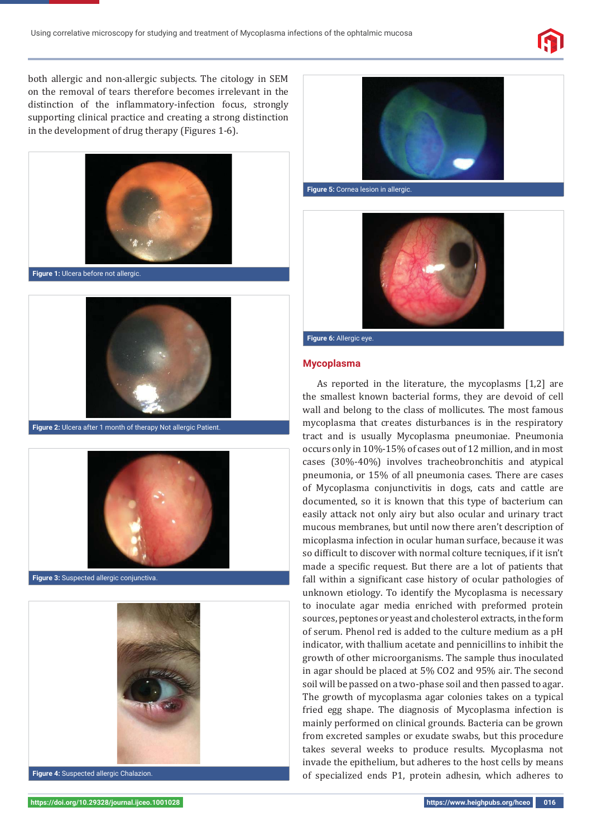

both allergic and non-allergic subjects. The citology in SEM on the removal of tears therefore becomes irrelevant in the distinction of the inflammatory-infection focus, strongly supporting clinical practice and creating a strong distinction in the development of drug therapy (Figures 1-6).







**Figure 2:** Ulcera after 1 month of therapy Not allergic Patient.





**Figure 4:** Suspected allergic Chalazion.



**Figure 5:** Cornea lesion in allergic.



#### **Figure 6:** Allergic eye.

#### **Mycoplasma**

As reported in the literature, the mycoplasms [1,2] are the smallest known bacterial forms, they are devoid of cell wall and belong to the class of mollicutes. The most famous mycoplasma that creates disturbances is in the respiratory tract and is usually Mycoplasma pneumoniae. Pneumonia occurs only in 10%-15% of cases out of 12 million, and in most cases (30%-40%) involves tracheobronchitis and atypical pneumonia, or 15% of all pneumonia cases. There are cases of Mycoplasma conjunctivitis in dogs, cats and cattle are documented, so it is known that this type of bacterium can easily attack not only airy but also ocular and urinary tract mucous membranes, but until now there aren't description of micoplasma infection in ocular human surface, because it was so difficult to discover with normal colture tecniques, if it isn't made a specific request. But there are a lot of patients that fall within a significant case history of ocular pathologies of unknown etiology. To identify the Mycoplasma is necessary to inoculate agar media enriched with preformed protein sources, peptones or yeast and cholesterol extracts, in the form of serum. Phenol red is added to the culture medium as a pH indicator, with thallium acetate and pennicillins to inhibit the growth of other microorganisms. The sample thus inoculated in agar should be placed at 5% CO2 and 95% air. The second soil will be passed on a two-phase soil and then passed to agar. The growth of mycoplasma agar colonies takes on a typical fried egg shape. The diagnosis of Mycoplasma infection is mainly performed on clinical grounds. Bacteria can be grown from excreted samples or exudate swabs, but this procedure takes several weeks to produce results. Mycoplasma not invade the epithelium, but adheres to the host cells by means of specialized ends P1, protein adhesin, which adheres to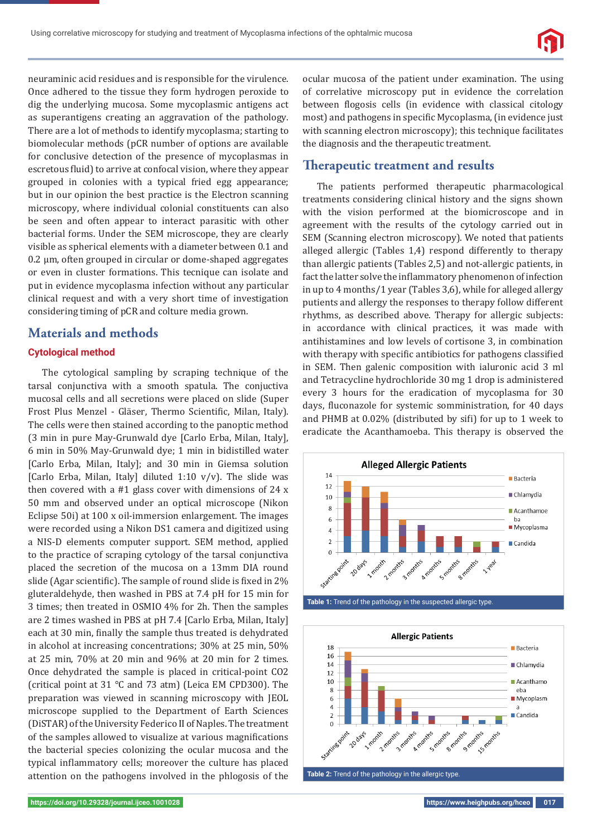neuraminic acid residues and is responsible for the virulence. Once adhered to the tissue they form hydrogen peroxide to dig the underlying mucosa. Some mycoplasmic antigens act as superantigens creating an aggravation of the pathology. There are a lot of methods to identify mycoplasma; starting to biomolecular methods (pCR number of options are available for conclusive detection of the presence of mycoplasmas in escretous fluid) to arrive at confocal vision, where they appear grouped in colonies with a typical fried egg appearance; but in our opinion the best practice is the Electron scanning microscopy, where individual colonial constituents can also be seen and often appear to interact parasitic with other bacterial forms. Under the SEM microscope, they are clearly visible as spherical elements with a diameter between 0.1 and 0.2 μm, often grouped in circular or dome-shaped aggregates or even in cluster formations. This tecnique can isolate and put in evidence mycoplasma infection without any particular clinical request and with a very short time of investigation considering timing of pCR and colture media grown.

## **Materials and methods**

#### **Cytological method**

The cytological sampling by scraping technique of the tarsal conjunctiva with a smooth spatula. The conjuctiva mucosal cells and all secretions were placed on slide (Super Frost Plus Menzel - Gläser, Thermo Scientific, Milan, Italy). The cells were then stained according to the panoptic method (3 min in pure May-Grunwald dye [Carlo Erba, Milan, Italy], 6 min in 50% May-Grunwald dye; 1 min in bidistilled water [Carlo Erba, Milan, Italy]; and 30 min in Giemsa solution [Carlo Erba, Milan, Italy] diluted 1:10 v/v). The slide was then covered with a #1 glass cover with dimensions of 24 x 50 mm and observed under an optical microscope (Nikon Eclipse 50i) at 100 x oil-immersion enlargement. The images were recorded using a Nikon DS1 camera and digitized using a NIS-D elements computer support. SEM method, applied to the practice of scraping cytology of the tarsal conjunctiva placed the secretion of the mucosa on a 13mm DIA round slide (Agar scientific). The sample of round slide is fixed in 2% gluteraldehyde, then washed in PBS at 7.4 pH for 15 min for 3 times; then treated in OSMIO 4% for 2h. Then the samples are 2 times washed in PBS at pH 7.4 [Carlo Erba, Milan, Italy] each at 30 min, finally the sample thus treated is dehydrated in alcohol at increasing concentrations; 30% at 25 min, 50% at 25 min, 70% at 20 min and 96% at 20 min for 2 times. Once dehydrated the sample is placed in critical-point CO2 (critical point at 31 °C and 73 atm) (Leica EM CPD300). The preparation was viewed in scanning microscopy with JEOL microscope supplied to the Department of Earth Sciences (DiSTAR) of the University Federico II of Naples. The treatment of the samples allowed to visualize at various magnifications the bacterial species colonizing the ocular mucosa and the typical inflammatory cells; moreover the culture has placed attention on the pathogens involved in the phlogosis of the

ocular mucosa of the patient under examination. The using of correlative microscopy put in evidence the correlation between flogosis cells (in evidence with classical citology most) and pathogens in specific Mycoplasma, (in evidence just with scanning electron microscopy); this technique facilitates the diagnosis and the therapeutic treatment.

## **Therapeutic treatment and results**

The patients performed therapeutic pharmacological treatments considering clinical history and the signs shown with the vision performed at the biomicroscope and in agreement with the results of the cytology carried out in SEM (Scanning electron microscopy). We noted that patients alleged allergic (Tables 1,4) respond differently to therapy than allergic patients (Tables 2,5) and not-allergic patients, in fact the latter solve the inflammatory phenomenon of infection in up to 4 months/1 year (Tables 3,6), while for alleged allergy putients and allergy the responses to therapy follow different rhythms, as described above. Therapy for allergic subjects: in accordance with clinical practices, it was made with antihistamines and low levels of cortisone 3, in combination with therapy with specific antibiotics for pathogens classified in SEM. Then galenic composition with ialuronic acid 3 ml and Tetracycline hydrochloride 30 mg 1 drop is administered every 3 hours for the eradication of mycoplasma for 30 days, fluconazole for systemic somministration, for 40 days and PHMB at 0.02% (distributed by sifi) for up to 1 week to eradicate the Acanthamoeba. This therapy is observed the



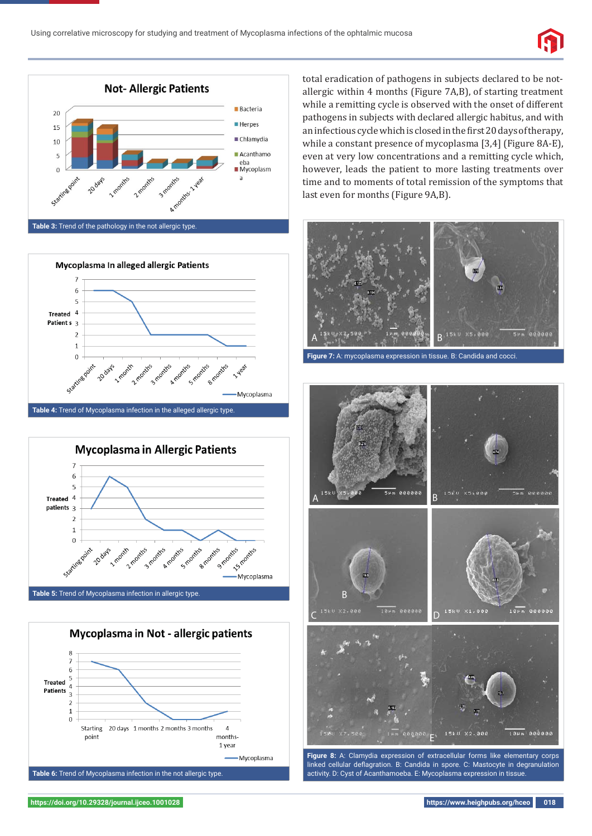

**Table 3:** Trend of the pathology in the not allergic type.







total eradication of pathogens in subjects declared to be notallergic within 4 months (Figure 7A,B), of starting treatment while a remitting cycle is observed with the onset of different pathogens in subjects with declared allergic habitus, and with an infectious cycle which is closed in the first 20 days of therapy, while a constant presence of mycoplasma [3,4] (Figure 8A-E), even at very low concentrations and a remitting cycle which, however, leads the patient to more lasting treatments over time and to moments of total remission of the symptoms that last even for months (Figure 9A,B).



**Figure 7:** A: mycoplasma expression in tissue. B: Candida and cocci.



**Figure 8:** A: Clamydia expression of extracellular forms like elementary corps linked cellular deflagration. B: Candida in spore. C: Mastocyte in degranulation activity. D: Cyst of Acanthamoeba. E: Mycoplasma expression in tissue.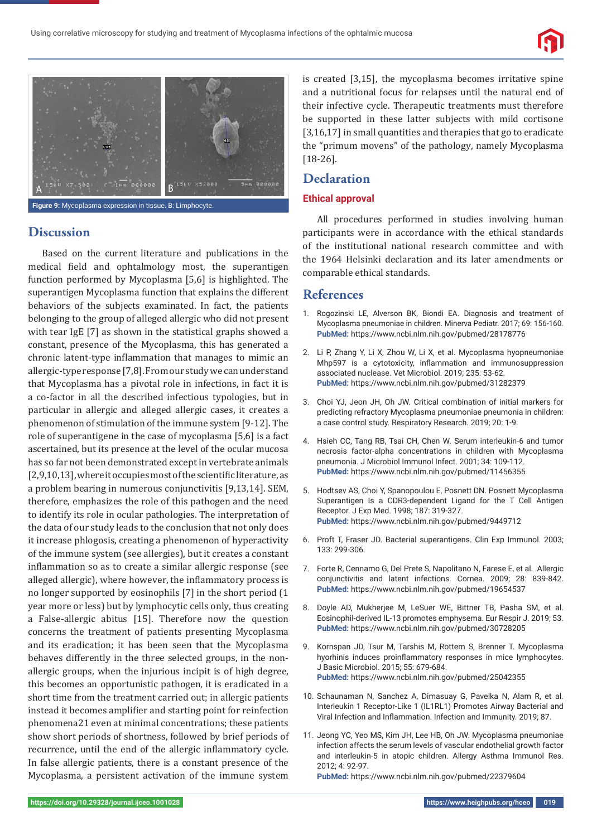

**Figure 9:** Mycoplasma expression in tissue. B: Limphocyte.

## **Discussion**

Based on the current literature and publications in the medical field and ophtalmology most, the superantigen function performed by Mycoplasma [5,6] is highlighted. The superantigen Mycoplasma function that explains the different behaviors of the subjects examinated. In fact, the patients belonging to the group of alleged allergic who did not present with tear IgE [7] as shown in the statistical graphs showed a constant, presence of the Mycoplasma, this has generated a chronic latent-type inflammation that manages to mimic an allergic-type response [7,8]. From our study we can understand that Mycoplasma has a pivotal role in infections, in fact it is a co-factor in all the described infectious typologies, but in particular in allergic and alleged allergic cases, it creates a phenomenon of stimulation of the immune system [9-12]. The role of superantigene in the case of mycoplasma [5,6] is a fact ascertained, but its presence at the level of the ocular mucosa has so far not been demonstrated except in vertebrate animals  $[2,9,10,13]$ , where it occupies most of the scientific literature, as a problem bearing in numerous conjunctivitis [9,13,14]. SEM, therefore, emphasizes the role of this pathogen and the need to identify its role in ocular pathologies. The interpretation of the data of our study leads to the conclusion that not only does it increase phlogosis, creating a phenomenon of hyperactivity of the immune system (see allergies), but it creates a constant inflammation so as to create a similar allergic response (see alleged allergic), where however, the inflammatory process is no longer supported by eosinophils [7] in the short period (1 year more or less) but by lymphocytic cells only, thus creating a False-allergic abitus [15]. Therefore now the question concerns the treatment of patients presenting Mycoplasma and its eradication; it has been seen that the Mycoplasma behaves differently in the three selected groups, in the nonallergic groups, when the injurious incipit is of high degree, this becomes an opportunistic pathogen, it is eradicated in a short time from the treatment carried out; in allergic patients instead it becomes amplifier and starting point for reinfection phenomena21 even at minimal concentrations; these patients show short periods of shortness, followed by brief periods of recurrence, until the end of the allergic inflammatory cycle. In false allergic patients, there is a constant presence of the Mycoplasma, a persistent activation of the immune system

is created [3,15], the mycoplasma becomes irritative spine and a nutritional focus for relapses until the natural end of their infective cycle. Therapeutic treatments must therefore be supported in these latter subjects with mild cortisone [3,16,17] in small quantities and therapies that go to eradicate the "primum movens" of the pathology, namely Mycoplasma [18-26].

### **Declaration**

#### **Ethical approval**

All procedures performed in studies involving human participants were in accordance with the ethical standards of the institutional national research committee and with the 1964 Helsinki declaration and its later amendments or comparable ethical standards.

## **References**

- 1. Rogozinski LE, Alverson BK, Biondi EA. Diagnosis and treatment of Mycoplasma pneumoniae in children. Minerva Pediatr. 2017; 69: 156-160. **PubMed:** https://www.ncbi.nlm.nih.gov/pubmed/28178776
- 2. Li P, Zhang Y, Li X, Zhou W, Li X, et al. Mycoplasma hyopneumoniae Mhp597 is a cytotoxicity, inflammation and immunosuppression associated nuclease. Vet Microbiol. 2019; 235: 53-62. **PubMed:** https://www.ncbi.nlm.nih.gov/pubmed/31282379
- 3. Choi YJ, Jeon JH, Oh JW. Critical combination of initial markers for predicting refractory Mycoplasma pneumoniae pneumonia in children: a case control study. Respiratory Research. 2019; 20: 1-9.
- 4. Hsieh CC, Tang RB, Tsai CH, Chen W. Serum interleukin-6 and tumor necrosis factor-alpha concentrations in children with Mycoplasma pneumonia. J Microbiol Immunol Infect. 2001; 34: 109-112. **PubMed:** https://www.ncbi.nlm.nih.gov/pubmed/11456355
- 5. Hodtsev AS, Choi Y, Spanopoulou E, Posnett DN. Posnett Mycoplasma Superantigen Is a CDR3-dependent Ligand for the T Cell Antigen Receptor. J Exp Med. 1998; 187: 319-327. **PubMed:** https://www.ncbi.nlm.nih.gov/pubmed/9449712
- 6. Proft T, Fraser JD. Bacterial superantigens. Clin Exp Immunol. 2003; 133: 299-306.
- 7. Forte R, Cennamo G, Del Prete S, Napolitano N, Farese E, et al. .Allergic conjunctivitis and latent infections. Cornea. 2009; 28: 839-842. **PubMed:** https://www.ncbi.nlm.nih.gov/pubmed/19654537
- 8. Doyle AD, Mukherjee M, LeSuer WE, Bittner TB, Pasha SM, et al. Eosinophil-derived IL-13 promotes emphysema. Eur Respir J. 2019; 53. **PubMed:** https://www.ncbi.nlm.nih.gov/pubmed/30728205
- 9. Kornspan JD, Tsur M, Tarshis M, Rottem S, Brenner T. Mycoplasma hyorhinis induces proinflammatory responses in mice lymphocytes. J Basic Microbiol. 2015; 55: 679-684. **PubMed:** https://www.ncbi.nlm.nih.gov/pubmed/25042355
- 10. Schaunaman N, Sanchez A, Dimasuay G, Pavelka N, Alam R, et al. Interleukin 1 Receptor-Like 1 (IL1RL1) Promotes Airway Bacterial and Viral Infection and Inflammation. Infection and Immunity. 2019; 87.
- 11. Jeong YC, Yeo MS, Kim JH, Lee HB, Oh JW. Mycoplasma pneumoniae infection affects the serum levels of vascular endothelial growth factor and interleukin-5 in atopic children. Allergy Asthma Immunol Res. 2012; 4: 92-97.

**PubMed:** https://www.ncbi.nlm.nih.gov/pubmed/22379604